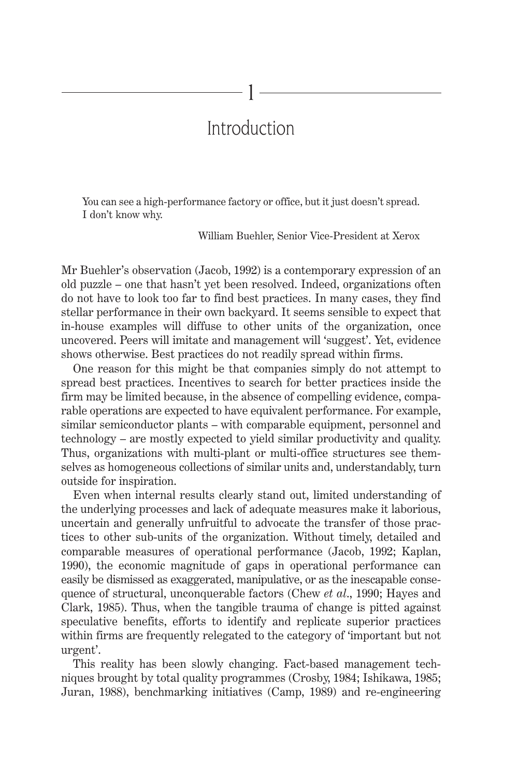# Introduction

 $\overline{1}$ 

You can see a high-performance factory or office, but it just doesn't spread. I don't know why.

William Buehler, Senior Vice-President at Xerox

Mr Buehler's observation (Jacob, 1992) is a contemporary expression of an old puzzle – one that hasn't yet been resolved. Indeed, organizations often do not have to look too far to find best practices. In many cases, they find stellar performance in their own backyard. It seems sensible to expect that in-house examples will diffuse to other units of the organization, once uncovered. Peers will imitate and management will 'suggest'. Yet, evidence shows otherwise. Best practices do not readily spread within firms.

One reason for this might be that companies simply do not attempt to spread best practices. Incentives to search for better practices inside the firm may be limited because, in the absence of compelling evidence, comparable operations are expected to have equivalent performance. For example, similar semiconductor plants – with comparable equipment, personnel and technology – are mostly expected to yield similar productivity and quality. Thus, organizations with multi-plant or multi-office structures see themselves as homogeneous collections of similar units and, understandably, turn outside for inspiration.

Even when internal results clearly stand out, limited understanding of the underlying processes and lack of adequate measures make it laborious, uncertain and generally unfruitful to advocate the transfer of those practices to other sub-units of the organization. Without timely, detailed and comparable measures of operational performance (Jacob, 1992; Kaplan, 1990), the economic magnitude of gaps in operational performance can easily be dismissed as exaggerated, manipulative, or as the inescapable consequence of structural, unconquerable factors (Chew *et al*., 1990; Hayes and Clark, 1985). Thus, when the tangible trauma of change is pitted against speculative benefits, efforts to identify and replicate superior practices within firms are frequently relegated to the category of 'important but not urgent'.

This reality has been slowly changing. Fact-based management techniques brought by total quality programmes (Crosby, 1984; Ishikawa, 1985; Juran, 1988), benchmarking initiatives (Camp, 1989) and re-engineering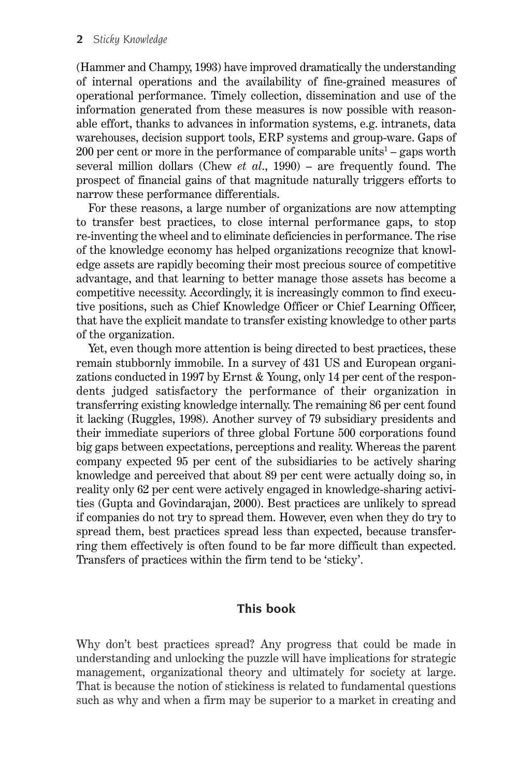(Hammer and Champy, 1993) have improved dramatically the understanding of internal operations and the availability of fine-grained measures of operational performance. Timely collection, dissemination and use of the information generated from these measures is now possible with reasonable effort, thanks to advances in information systems, e.g. intranets, data warehouses, decision support tools, ERP systems and group-ware. Gaps of 200 per cent or more in the performance of comparable units<sup>1</sup> – gaps worth several million dollars (Chew *et al*., 1990) – are frequently found. The prospect of financial gains of that magnitude naturally triggers efforts to narrow these performance differentials.

For these reasons, a large number of organizations are now attempting to transfer best practices, to close internal performance gaps, to stop re-inventing the wheel and to eliminate deficiencies in performance. The rise of the knowledge economy has helped organizations recognize that knowledge assets are rapidly becoming their most precious source of competitive advantage, and that learning to better manage those assets has become a competitive necessity. Accordingly, it is increasingly common to find executive positions, such as Chief Knowledge Officer or Chief Learning Officer, that have the explicit mandate to transfer existing knowledge to other parts of the organization.

Yet, even though more attention is being directed to best practices, these remain stubbornly immobile. In a survey of 431 US and European organizations conducted in 1997 by Ernst & Young, only 14 per cent of the respondents judged satisfactory the performance of their organization in transferring existing knowledge internally. The remaining 86 per cent found it lacking (Ruggles, 1998). Another survey of 79 subsidiary presidents and their immediate superiors of three global Fortune 500 corporations found big gaps between expectations, perceptions and reality. Whereas the parent company expected 95 per cent of the subsidiaries to be actively sharing knowledge and perceived that about 89 per cent were actually doing so, in reality only 62 per cent were actively engaged in knowledge-sharing activities (Gupta and Govindarajan, 2000). Best practices are unlikely to spread if companies do not try to spread them. However, even when they do try to spread them, best practices spread less than expected, because transferring them effectively is often found to be far more difficult than expected. Transfers of practices within the firm tend to be 'sticky'.

## This book

Why don't best practices spread? Any progress that could be made in understanding and unlocking the puzzle will have implications for strategic management, organizational theory and ultimately for society at large. That is because the notion of stickiness is related to fundamental questions such as why and when a firm may be superior to a market in creating and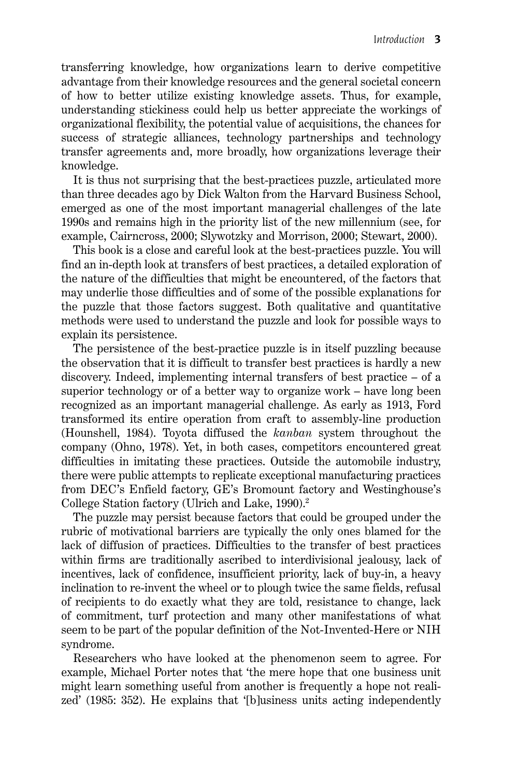transferring knowledge, how organizations learn to derive competitive advantage from their knowledge resources and the general societal concern of how to better utilize existing knowledge assets. Thus, for example, understanding stickiness could help us better appreciate the workings of organizational flexibility, the potential value of acquisitions, the chances for success of strategic alliances, technology partnerships and technology transfer agreements and, more broadly, how organizations leverage their knowledge.

It is thus not surprising that the best-practices puzzle, articulated more than three decades ago by Dick Walton from the Harvard Business School, emerged as one of the most important managerial challenges of the late 1990s and remains high in the priority list of the new millennium (see, for example, Cairncross, 2000; Slywotzky and Morrison, 2000; Stewart, 2000).

This book is a close and careful look at the best-practices puzzle. You will find an in-depth look at transfers of best practices, a detailed exploration of the nature of the difficulties that might be encountered, of the factors that may underlie those difficulties and of some of the possible explanations for the puzzle that those factors suggest. Both qualitative and quantitative methods were used to understand the puzzle and look for possible ways to explain its persistence.

The persistence of the best-practice puzzle is in itself puzzling because the observation that it is difficult to transfer best practices is hardly a new discovery. Indeed, implementing internal transfers of best practice – of a superior technology or of a better way to organize work – have long been recognized as an important managerial challenge. As early as 1913, Ford transformed its entire operation from craft to assembly-line production (Hounshell, 1984). Toyota diffused the *kanban* system throughout the company (Ohno, 1978). Yet, in both cases, competitors encountered great difficulties in imitating these practices. Outside the automobile industry, there were public attempts to replicate exceptional manufacturing practices from DEC's Enfield factory, GE's Bromount factory and Westinghouse's College Station factory (Ulrich and Lake, 1990).<sup>2</sup>

The puzzle may persist because factors that could be grouped under the rubric of motivational barriers are typically the only ones blamed for the lack of diffusion of practices. Difficulties to the transfer of best practices within firms are traditionally ascribed to interdivisional jealousy, lack of incentives, lack of confidence, insufficient priority, lack of buy-in, a heavy inclination to re-invent the wheel or to plough twice the same fields, refusal of recipients to do exactly what they are told, resistance to change, lack of commitment, turf protection and many other manifestations of what seem to be part of the popular definition of the Not-Invented-Here or NIH syndrome.

Researchers who have looked at the phenomenon seem to agree. For example, Michael Porter notes that 'the mere hope that one business unit might learn something useful from another is frequently a hope not realized' (1985: 352). He explains that '[b]usiness units acting independently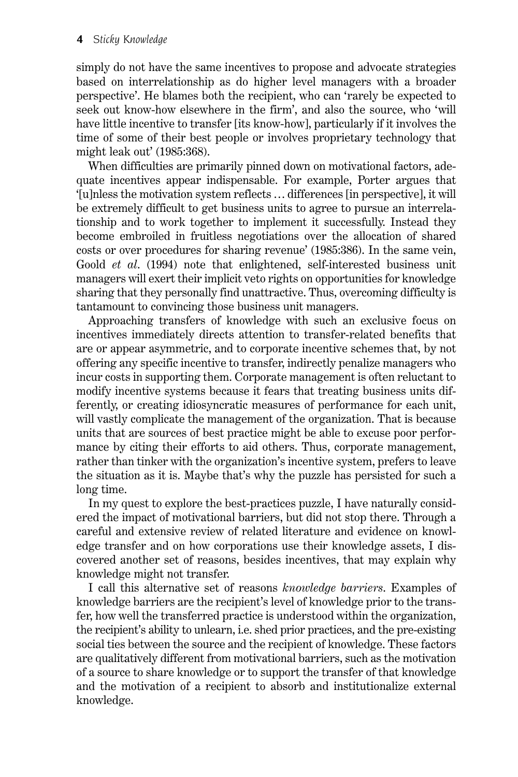simply do not have the same incentives to propose and advocate strategies based on interrelationship as do higher level managers with a broader perspective'. He blames both the recipient, who can 'rarely be expected to seek out know-how elsewhere in the firm', and also the source, who 'will have little incentive to transfer [its know-how], particularly if it involves the time of some of their best people or involves proprietary technology that might leak out' (1985:368).

When difficulties are primarily pinned down on motivational factors, adequate incentives appear indispensable. For example, Porter argues that '[u]nless the motivation system reflects ... differences [in perspective], it will be extremely difficult to get business units to agree to pursue an interrelationship and to work together to implement it successfully. Instead they become embroiled in fruitless negotiations over the allocation of shared costs or over procedures for sharing revenue' (1985:386). In the same vein, Goold *et al*. (1994) note that enlightened, self-interested business unit managers will exert their implicit veto rights on opportunities for knowledge sharing that they personally find unattractive. Thus, overcoming difficulty is tantamount to convincing those business unit managers.

Approaching transfers of knowledge with such an exclusive focus on incentives immediately directs attention to transfer-related benefits that are or appear asymmetric, and to corporate incentive schemes that, by not offering any specific incentive to transfer, indirectly penalize managers who incur costs in supporting them. Corporate management is often reluctant to modify incentive systems because it fears that treating business units differently, or creating idiosyncratic measures of performance for each unit, will vastly complicate the management of the organization. That is because units that are sources of best practice might be able to excuse poor performance by citing their efforts to aid others. Thus, corporate management, rather than tinker with the organization's incentive system, prefers to leave the situation as it is. Maybe that's why the puzzle has persisted for such a long time.

In my quest to explore the best-practices puzzle, I have naturally considered the impact of motivational barriers, but did not stop there. Through a careful and extensive review of related literature and evidence on knowledge transfer and on how corporations use their knowledge assets, I discovered another set of reasons, besides incentives, that may explain why knowledge might not transfer.

I call this alternative set of reasons *knowledge barriers*. Examples of knowledge barriers are the recipient's level of knowledge prior to the transfer, how well the transferred practice is understood within the organization, the recipient's ability to unlearn, i.e. shed prior practices, and the pre-existing social ties between the source and the recipient of knowledge. These factors are qualitatively different from motivational barriers, such as the motivation of a source to share knowledge or to support the transfer of that knowledge and the motivation of a recipient to absorb and institutionalize external knowledge.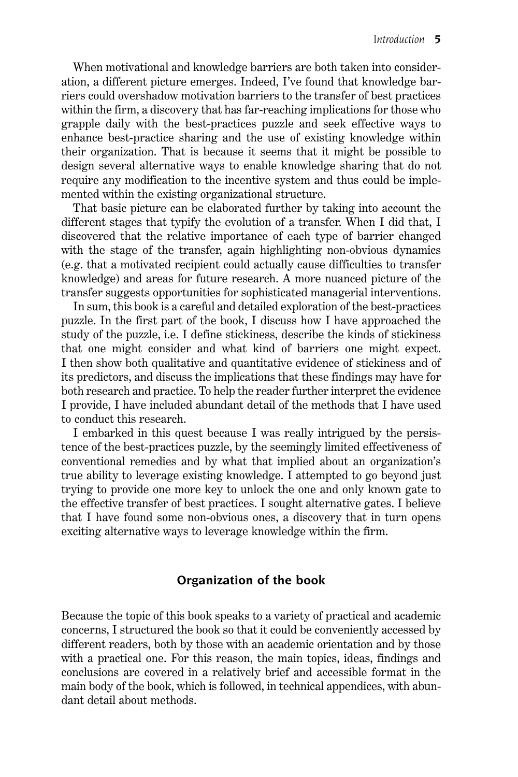When motivational and knowledge barriers are both taken into consideration, a different picture emerges. Indeed, I've found that knowledge barriers could overshadow motivation barriers to the transfer of best practices within the firm, a discovery that has far-reaching implications for those who grapple daily with the best-practices puzzle and seek effective ways to enhance best-practice sharing and the use of existing knowledge within their organization. That is because it seems that it might be possible to design several alternative ways to enable knowledge sharing that do not require any modification to the incentive system and thus could be implemented within the existing organizational structure.

That basic picture can be elaborated further by taking into account the different stages that typify the evolution of a transfer. When I did that, I discovered that the relative importance of each type of barrier changed with the stage of the transfer, again highlighting non-obvious dynamics (e.g. that a motivated recipient could actually cause difficulties to transfer knowledge) and areas for future research. A more nuanced picture of the transfer suggests opportunities for sophisticated managerial interventions.

In sum, this book is a careful and detailed exploration of the best-practices puzzle. In the first part of the book, I discuss how I have approached the study of the puzzle, i.e. I define stickiness, describe the kinds of stickiness that one might consider and what kind of barriers one might expect. I then show both qualitative and quantitative evidence of stickiness and of its predictors, and discuss the implications that these findings may have for both research and practice. To help the reader further interpret the evidence I provide, I have included abundant detail of the methods that I have used to conduct this research.

I embarked in this quest because I was really intrigued by the persistence of the best-practices puzzle, by the seemingly limited effectiveness of conventional remedies and by what that implied about an organization's true ability to leverage existing knowledge. I attempted to go beyond just trying to provide one more key to unlock the one and only known gate to the effective transfer of best practices. I sought alternative gates. I believe that I have found some non-obvious ones, a discovery that in turn opens exciting alternative ways to leverage knowledge within the firm.

## Organization of the book

Because the topic of this book speaks to a variety of practical and academic concerns, I structured the book so that it could be conveniently accessed by different readers, both by those with an academic orientation and by those with a practical one. For this reason, the main topics, ideas, findings and conclusions are covered in a relatively brief and accessible format in the main body of the book, which is followed, in technical appendices, with abundant detail about methods.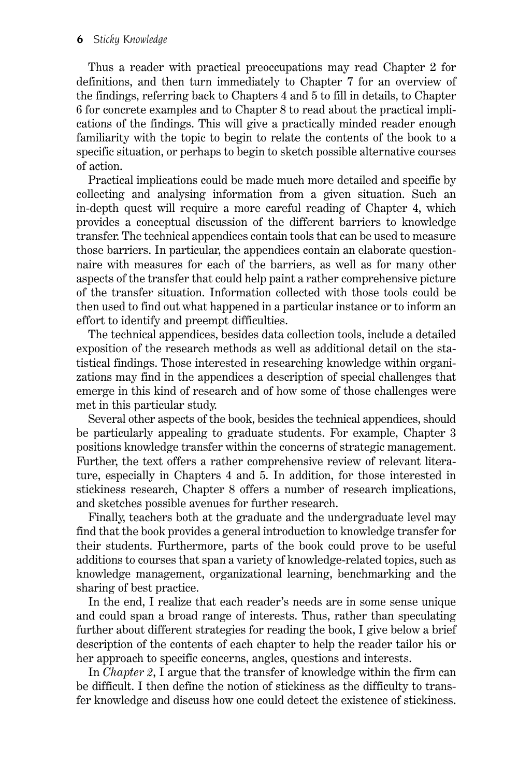Thus a reader with practical preoccupations may read Chapter 2 for definitions, and then turn immediately to Chapter 7 for an overview of the findings, referring back to Chapters 4 and 5 to fill in details, to Chapter 6 for concrete examples and to Chapter 8 to read about the practical implications of the findings. This will give a practically minded reader enough familiarity with the topic to begin to relate the contents of the book to a specific situation, or perhaps to begin to sketch possible alternative courses of action.

Practical implications could be made much more detailed and specific by collecting and analysing information from a given situation. Such an in-depth quest will require a more careful reading of Chapter 4, which provides a conceptual discussion of the different barriers to knowledge transfer. The technical appendices contain tools that can be used to measure those barriers. In particular, the appendices contain an elaborate questionnaire with measures for each of the barriers, as well as for many other aspects of the transfer that could help paint a rather comprehensive picture of the transfer situation. Information collected with those tools could be then used to find out what happened in a particular instance or to inform an effort to identify and preempt difficulties.

The technical appendices, besides data collection tools, include a detailed exposition of the research methods as well as additional detail on the statistical findings. Those interested in researching knowledge within organizations may find in the appendices a description of special challenges that emerge in this kind of research and of how some of those challenges were met in this particular study.

Several other aspects of the book, besides the technical appendices, should be particularly appealing to graduate students. For example, Chapter 3 positions knowledge transfer within the concerns of strategic management. Further, the text offers a rather comprehensive review of relevant literature, especially in Chapters 4 and 5. In addition, for those interested in stickiness research, Chapter 8 offers a number of research implications, and sketches possible avenues for further research.

Finally, teachers both at the graduate and the undergraduate level may find that the book provides a general introduction to knowledge transfer for their students. Furthermore, parts of the book could prove to be useful additions to courses that span a variety of knowledge-related topics, such as knowledge management, organizational learning, benchmarking and the sharing of best practice.

In the end, I realize that each reader's needs are in some sense unique and could span a broad range of interests. Thus, rather than speculating further about different strategies for reading the book, I give below a brief description of the contents of each chapter to help the reader tailor his or her approach to specific concerns, angles, questions and interests.

In *Chapter 2*, I argue that the transfer of knowledge within the firm can be difficult. I then define the notion of stickiness as the difficulty to transfer knowledge and discuss how one could detect the existence of stickiness.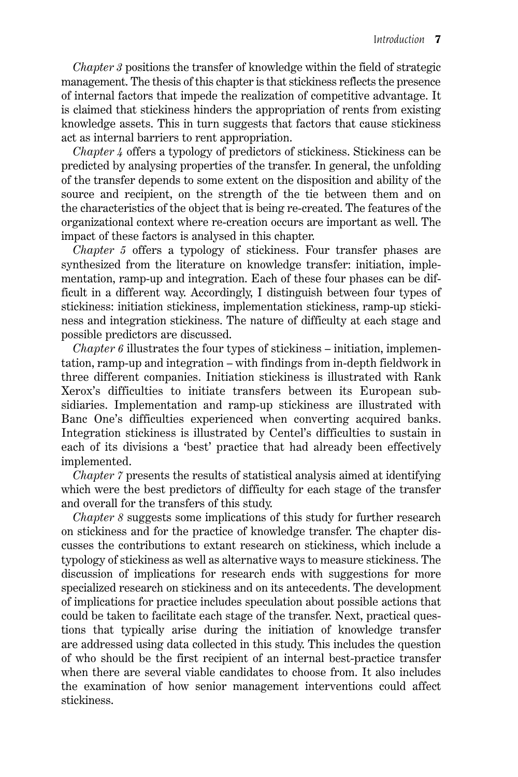*Chapter 3* positions the transfer of knowledge within the field of strategic management. The thesis of this chapter is that stickiness reflects the presence of internal factors that impede the realization of competitive advantage. It is claimed that stickiness hinders the appropriation of rents from existing knowledge assets. This in turn suggests that factors that cause stickiness act as internal barriers to rent appropriation.

*Chapter 4* offers a typology of predictors of stickiness. Stickiness can be predicted by analysing properties of the transfer. In general, the unfolding of the transfer depends to some extent on the disposition and ability of the source and recipient, on the strength of the tie between them and on the characteristics of the object that is being re-created. The features of the organizational context where re-creation occurs are important as well. The impact of these factors is analysed in this chapter.

*Chapter 5* offers a typology of stickiness. Four transfer phases are synthesized from the literature on knowledge transfer: initiation, implementation, ramp-up and integration. Each of these four phases can be difficult in a different way. Accordingly, I distinguish between four types of stickiness: initiation stickiness, implementation stickiness, ramp-up stickiness and integration stickiness. The nature of difficulty at each stage and possible predictors are discussed.

*Chapter 6* illustrates the four types of stickiness – initiation, implementation, ramp-up and integration – with findings from in-depth fieldwork in three different companies. Initiation stickiness is illustrated with Rank Xerox's difficulties to initiate transfers between its European subsidiaries. Implementation and ramp-up stickiness are illustrated with Banc One's difficulties experienced when converting acquired banks. Integration stickiness is illustrated by Centel's difficulties to sustain in each of its divisions a 'best' practice that had already been effectively implemented.

*Chapter 7* presents the results of statistical analysis aimed at identifying which were the best predictors of difficulty for each stage of the transfer and overall for the transfers of this study.

*Chapter 8* suggests some implications of this study for further research on stickiness and for the practice of knowledge transfer. The chapter discusses the contributions to extant research on stickiness, which include a typology of stickiness as well as alternative ways to measure stickiness. The discussion of implications for research ends with suggestions for more specialized research on stickiness and on its antecedents. The development of implications for practice includes speculation about possible actions that could be taken to facilitate each stage of the transfer. Next, practical questions that typically arise during the initiation of knowledge transfer are addressed using data collected in this study. This includes the question of who should be the first recipient of an internal best-practice transfer when there are several viable candidates to choose from. It also includes the examination of how senior management interventions could affect stickiness.